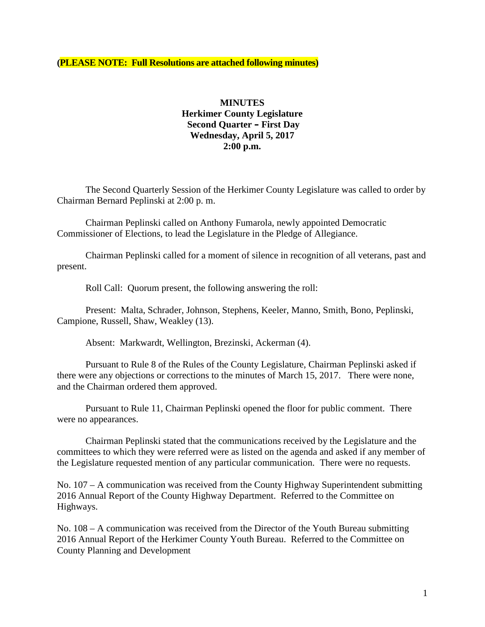#### **(PLEASE NOTE: Full Resolutions are attached following minutes)**

## **MINUTES Herkimer County Legislature Second Quarter – First Day Wednesday, April 5, 2017 2:00 p.m.**

The Second Quarterly Session of the Herkimer County Legislature was called to order by Chairman Bernard Peplinski at 2:00 p. m.

Chairman Peplinski called on Anthony Fumarola, newly appointed Democratic Commissioner of Elections, to lead the Legislature in the Pledge of Allegiance.

Chairman Peplinski called for a moment of silence in recognition of all veterans, past and present.

Roll Call: Quorum present, the following answering the roll:

Present: Malta, Schrader, Johnson, Stephens, Keeler, Manno, Smith, Bono, Peplinski, Campione, Russell, Shaw, Weakley (13).

Absent: Markwardt, Wellington, Brezinski, Ackerman (4).

Pursuant to Rule 8 of the Rules of the County Legislature, Chairman Peplinski asked if there were any objections or corrections to the minutes of March 15, 2017. There were none, and the Chairman ordered them approved.

Pursuant to Rule 11, Chairman Peplinski opened the floor for public comment. There were no appearances.

Chairman Peplinski stated that the communications received by the Legislature and the committees to which they were referred were as listed on the agenda and asked if any member of the Legislature requested mention of any particular communication. There were no requests.

No. 107 – A communication was received from the County Highway Superintendent submitting 2016 Annual Report of the County Highway Department. Referred to the Committee on Highways.

No. 108 – A communication was received from the Director of the Youth Bureau submitting 2016 Annual Report of the Herkimer County Youth Bureau. Referred to the Committee on County Planning and Development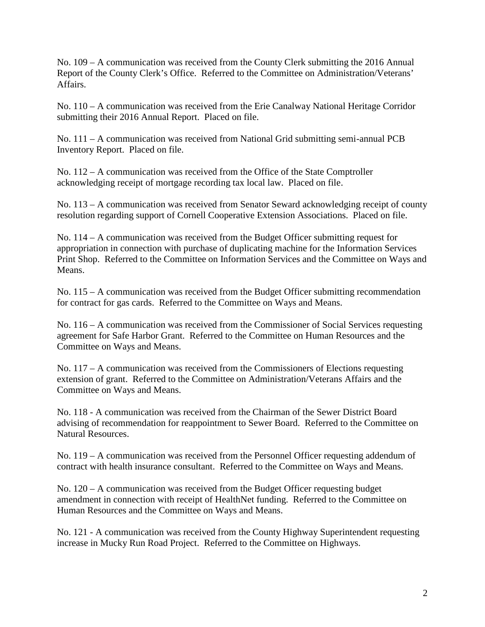No. 109 – A communication was received from the County Clerk submitting the 2016 Annual Report of the County Clerk's Office. Referred to the Committee on Administration/Veterans' Affairs.

No. 110 – A communication was received from the Erie Canalway National Heritage Corridor submitting their 2016 Annual Report. Placed on file.

No. 111 – A communication was received from National Grid submitting semi-annual PCB Inventory Report. Placed on file.

No. 112 – A communication was received from the Office of the State Comptroller acknowledging receipt of mortgage recording tax local law. Placed on file.

No. 113 – A communication was received from Senator Seward acknowledging receipt of county resolution regarding support of Cornell Cooperative Extension Associations. Placed on file.

No. 114 – A communication was received from the Budget Officer submitting request for appropriation in connection with purchase of duplicating machine for the Information Services Print Shop. Referred to the Committee on Information Services and the Committee on Ways and Means.

No. 115 – A communication was received from the Budget Officer submitting recommendation for contract for gas cards. Referred to the Committee on Ways and Means.

No. 116 – A communication was received from the Commissioner of Social Services requesting agreement for Safe Harbor Grant. Referred to the Committee on Human Resources and the Committee on Ways and Means.

No. 117 – A communication was received from the Commissioners of Elections requesting extension of grant. Referred to the Committee on Administration/Veterans Affairs and the Committee on Ways and Means.

No. 118 - A communication was received from the Chairman of the Sewer District Board advising of recommendation for reappointment to Sewer Board. Referred to the Committee on Natural Resources.

No. 119 – A communication was received from the Personnel Officer requesting addendum of contract with health insurance consultant. Referred to the Committee on Ways and Means.

No. 120 – A communication was received from the Budget Officer requesting budget amendment in connection with receipt of HealthNet funding. Referred to the Committee on Human Resources and the Committee on Ways and Means.

No. 121 - A communication was received from the County Highway Superintendent requesting increase in Mucky Run Road Project. Referred to the Committee on Highways.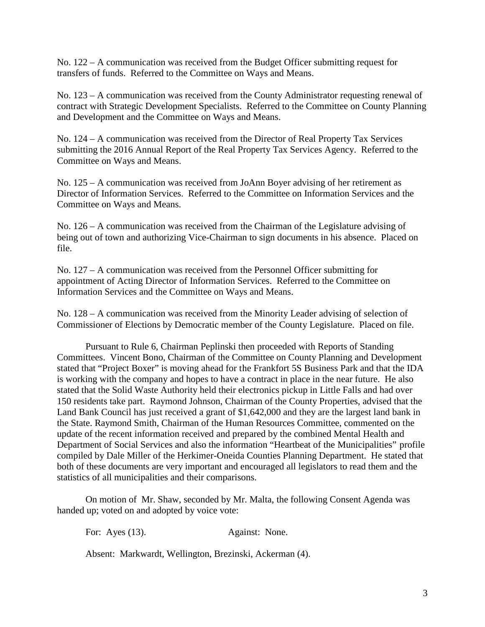No. 122 – A communication was received from the Budget Officer submitting request for transfers of funds. Referred to the Committee on Ways and Means.

No. 123 – A communication was received from the County Administrator requesting renewal of contract with Strategic Development Specialists. Referred to the Committee on County Planning and Development and the Committee on Ways and Means.

No. 124 – A communication was received from the Director of Real Property Tax Services submitting the 2016 Annual Report of the Real Property Tax Services Agency. Referred to the Committee on Ways and Means.

No. 125 – A communication was received from JoAnn Boyer advising of her retirement as Director of Information Services. Referred to the Committee on Information Services and the Committee on Ways and Means.

No. 126 – A communication was received from the Chairman of the Legislature advising of being out of town and authorizing Vice-Chairman to sign documents in his absence. Placed on file.

No. 127 – A communication was received from the Personnel Officer submitting for appointment of Acting Director of Information Services. Referred to the Committee on Information Services and the Committee on Ways and Means.

No. 128 – A communication was received from the Minority Leader advising of selection of Commissioner of Elections by Democratic member of the County Legislature. Placed on file.

Pursuant to Rule 6, Chairman Peplinski then proceeded with Reports of Standing Committees. Vincent Bono, Chairman of the Committee on County Planning and Development stated that "Project Boxer" is moving ahead for the Frankfort 5S Business Park and that the IDA is working with the company and hopes to have a contract in place in the near future. He also stated that the Solid Waste Authority held their electronics pickup in Little Falls and had over 150 residents take part. Raymond Johnson, Chairman of the County Properties, advised that the Land Bank Council has just received a grant of \$1,642,000 and they are the largest land bank in the State. Raymond Smith, Chairman of the Human Resources Committee, commented on the update of the recent information received and prepared by the combined Mental Health and Department of Social Services and also the information "Heartbeat of the Municipalities" profile compiled by Dale Miller of the Herkimer-Oneida Counties Planning Department. He stated that both of these documents are very important and encouraged all legislators to read them and the statistics of all municipalities and their comparisons.

On motion of Mr. Shaw, seconded by Mr. Malta, the following Consent Agenda was handed up; voted on and adopted by voice vote:

For: Ayes (13). Against: None.

Absent: Markwardt, Wellington, Brezinski, Ackerman (4).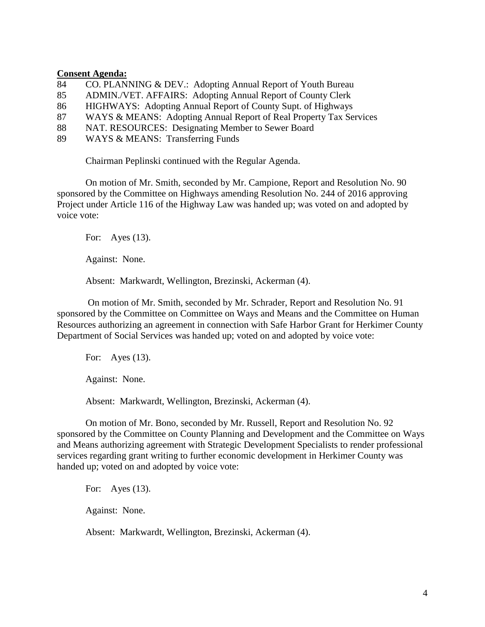#### **Consent Agenda:**

- 84 CO. PLANNING & DEV.: Adopting Annual Report of Youth Bureau
- 85 ADMIN./VET. AFFAIRS: Adopting Annual Report of County Clerk
- 86 HIGHWAYS: Adopting Annual Report of County Supt. of Highways
- 87 WAYS & MEANS: Adopting Annual Report of Real Property Tax Services
- 88 NAT. RESOURCES: Designating Member to Sewer Board
- 89 WAYS & MEANS: Transferring Funds

Chairman Peplinski continued with the Regular Agenda.

On motion of Mr. Smith, seconded by Mr. Campione, Report and Resolution No. 90 sponsored by the Committee on Highways amending Resolution No. 244 of 2016 approving Project under Article 116 of the Highway Law was handed up; was voted on and adopted by voice vote:

For: Ayes (13).

Against: None.

Absent: Markwardt, Wellington, Brezinski, Ackerman (4).

On motion of Mr. Smith, seconded by Mr. Schrader, Report and Resolution No. 91 sponsored by the Committee on Committee on Ways and Means and the Committee on Human Resources authorizing an agreement in connection with Safe Harbor Grant for Herkimer County Department of Social Services was handed up; voted on and adopted by voice vote:

For: Ayes (13).

Against: None.

Absent: Markwardt, Wellington, Brezinski, Ackerman (4).

On motion of Mr. Bono, seconded by Mr. Russell, Report and Resolution No. 92 sponsored by the Committee on County Planning and Development and the Committee on Ways and Means authorizing agreement with Strategic Development Specialists to render professional services regarding grant writing to further economic development in Herkimer County was handed up; voted on and adopted by voice vote:

For: Ayes (13).

Against: None.

Absent: Markwardt, Wellington, Brezinski, Ackerman (4).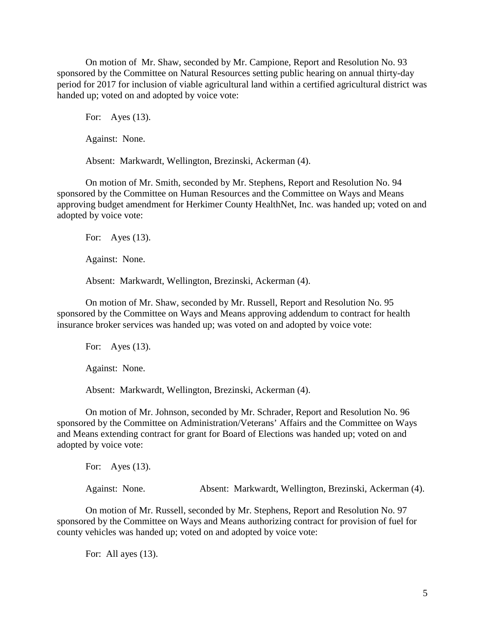On motion of Mr. Shaw, seconded by Mr. Campione, Report and Resolution No. 93 sponsored by the Committee on Natural Resources setting public hearing on annual thirty-day period for 2017 for inclusion of viable agricultural land within a certified agricultural district was handed up; voted on and adopted by voice vote:

For: Ayes (13).

Against: None.

Absent: Markwardt, Wellington, Brezinski, Ackerman (4).

On motion of Mr. Smith, seconded by Mr. Stephens, Report and Resolution No. 94 sponsored by the Committee on Human Resources and the Committee on Ways and Means approving budget amendment for Herkimer County HealthNet, Inc. was handed up; voted on and adopted by voice vote:

For: Ayes (13).

Against: None.

Absent: Markwardt, Wellington, Brezinski, Ackerman (4).

On motion of Mr. Shaw, seconded by Mr. Russell, Report and Resolution No. 95 sponsored by the Committee on Ways and Means approving addendum to contract for health insurance broker services was handed up; was voted on and adopted by voice vote:

For: Ayes (13).

Against: None.

Absent: Markwardt, Wellington, Brezinski, Ackerman (4).

On motion of Mr. Johnson, seconded by Mr. Schrader, Report and Resolution No. 96 sponsored by the Committee on Administration/Veterans' Affairs and the Committee on Ways and Means extending contract for grant for Board of Elections was handed up; voted on and adopted by voice vote:

For: Ayes (13). Against: None. Absent: Markwardt, Wellington, Brezinski, Ackerman (4).

On motion of Mr. Russell, seconded by Mr. Stephens, Report and Resolution No. 97 sponsored by the Committee on Ways and Means authorizing contract for provision of fuel for county vehicles was handed up; voted on and adopted by voice vote:

For: All ayes  $(13)$ .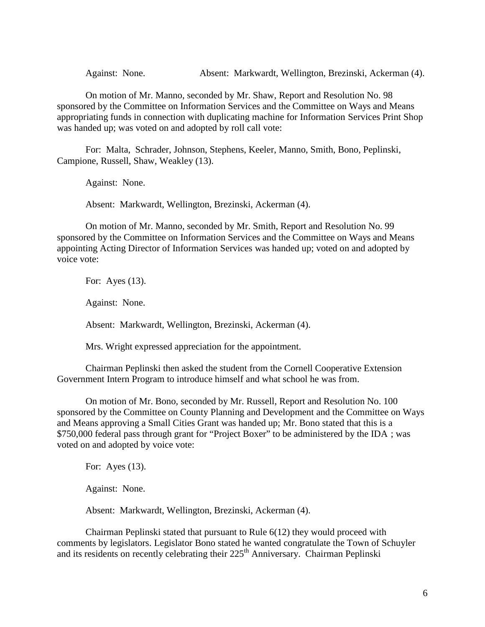Against: None. Absent: Markwardt, Wellington, Brezinski, Ackerman (4).

On motion of Mr. Manno, seconded by Mr. Shaw, Report and Resolution No. 98 sponsored by the Committee on Information Services and the Committee on Ways and Means appropriating funds in connection with duplicating machine for Information Services Print Shop was handed up; was voted on and adopted by roll call vote:

For: Malta, Schrader, Johnson, Stephens, Keeler, Manno, Smith, Bono, Peplinski, Campione, Russell, Shaw, Weakley (13).

Against: None.

Absent: Markwardt, Wellington, Brezinski, Ackerman (4).

On motion of Mr. Manno, seconded by Mr. Smith, Report and Resolution No. 99 sponsored by the Committee on Information Services and the Committee on Ways and Means appointing Acting Director of Information Services was handed up; voted on and adopted by voice vote:

For: Ayes (13).

Against: None.

Absent: Markwardt, Wellington, Brezinski, Ackerman (4).

Mrs. Wright expressed appreciation for the appointment.

Chairman Peplinski then asked the student from the Cornell Cooperative Extension Government Intern Program to introduce himself and what school he was from.

On motion of Mr. Bono, seconded by Mr. Russell, Report and Resolution No. 100 sponsored by the Committee on County Planning and Development and the Committee on Ways and Means approving a Small Cities Grant was handed up; Mr. Bono stated that this is a \$750,000 federal pass through grant for "Project Boxer" to be administered by the IDA ; was voted on and adopted by voice vote:

For: Ayes (13).

Against: None.

Absent: Markwardt, Wellington, Brezinski, Ackerman (4).

Chairman Peplinski stated that pursuant to Rule 6(12) they would proceed with comments by legislators. Legislator Bono stated he wanted congratulate the Town of Schuyler and its residents on recently celebrating their 225<sup>th</sup> Anniversary. Chairman Peplinski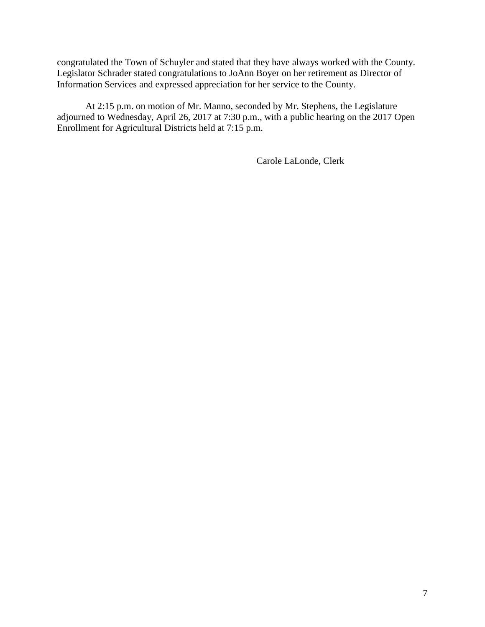congratulated the Town of Schuyler and stated that they have always worked with the County. Legislator Schrader stated congratulations to JoAnn Boyer on her retirement as Director of Information Services and expressed appreciation for her service to the County.

At 2:15 p.m. on motion of Mr. Manno, seconded by Mr. Stephens, the Legislature adjourned to Wednesday, April 26, 2017 at 7:30 p.m., with a public hearing on the 2017 Open Enrollment for Agricultural Districts held at 7:15 p.m.

Carole LaLonde, Clerk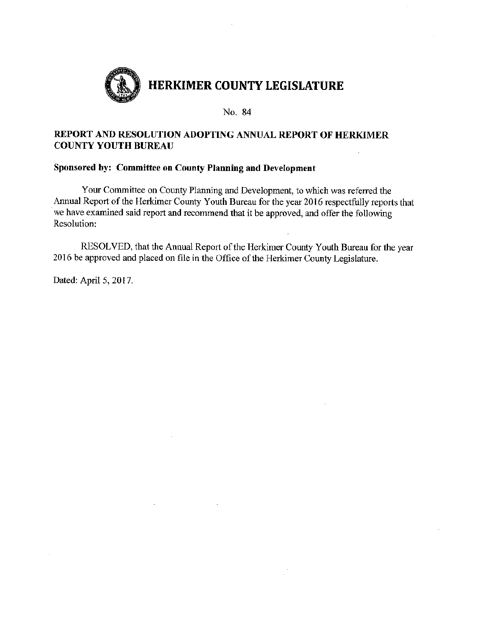

## REPORT AND RESOLUTION ADOPTING ANNUAL REPORT OF HERKIMER **COUNTY YOUTH BUREAU**

## Sponsored by: Committee on County Planning and Development

Your Committee on County Planning and Development, to which was referred the Annual Report of the Herkimer County Youth Bureau for the year 2016 respectfully reports that we have examined said report and recommend that it be approved, and offer the following Resolution:

RESOLVED, that the Annual Report of the Herkimer County Youth Bureau for the year 2016 be approved and placed on file in the Office of the Herkimer County Legislature.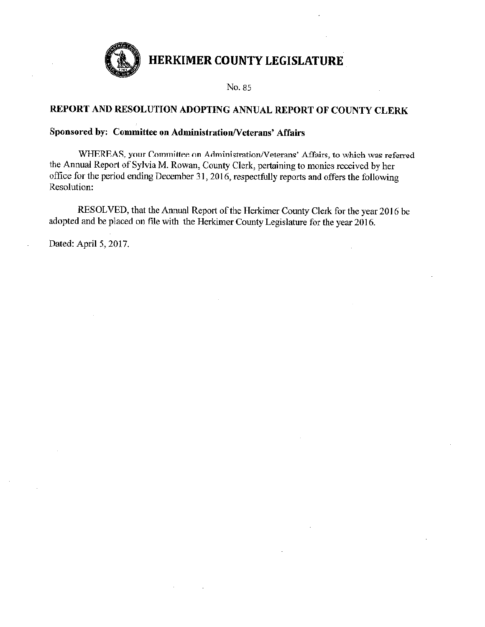

No. 85

## REPORT AND RESOLUTION ADOPTING ANNUAL REPORT OF COUNTY CLERK

## Sponsored by: Committee on Administration/Veterans' Affairs

WHEREAS, your Committee on Administration/Veterans' Affairs, to which was referred the Annual Report of Sylvia M. Rowan, County Clerk, pertaining to monies received by her office for the period ending December 31, 2016, respectfully reports and offers the following Resolution:

RESOLVED, that the Annual Report of the Herkimer County Clerk for the year 2016 be adopted and be placed on file with the Herkimer County Legislature for the year 2016.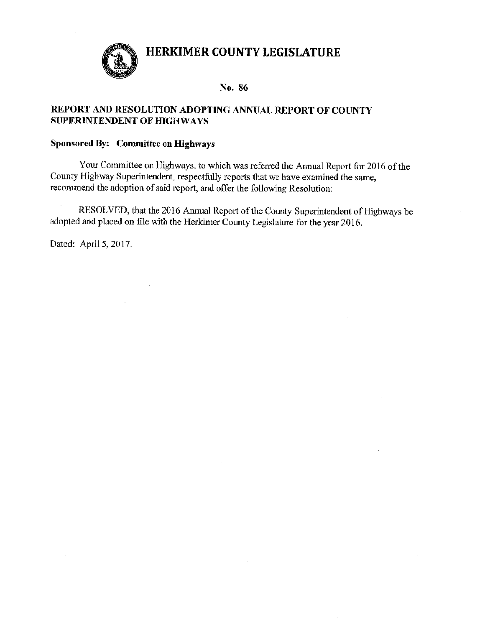

#### No. 86

## REPORT AND RESOLUTION ADOPTING ANNUAL REPORT OF COUNTY **SUPERINTENDENT OF HIGHWAYS**

## Sponsored By: Committee on Highways

Your Committee on Highways, to which was referred the Annual Report for 2016 of the County Highway Superintendent, respectfully reports that we have examined the same, recommend the adoption of said report, and offer the following Resolution:

 $\cdot$ RESOLVED, that the 2016 Annual Report of the County Superintendent of Highways be adopted and placed on file with the Herkimer County Legislature for the year 2016.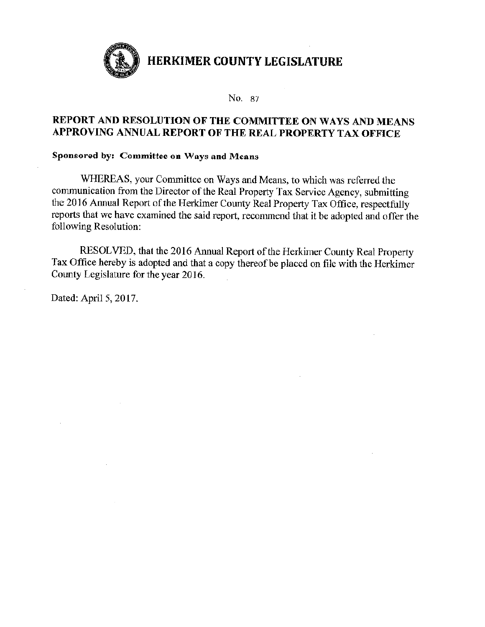

No. 87

## REPORT AND RESOLUTION OF THE COMMITTEE ON WAYS AND MEANS APPROVING ANNUAL REPORT OF THE REAL PROPERTY TAX OFFICE

## Sponsored by: Committee on Ways and Means

WHEREAS, your Committee on Ways and Means, to which was referred the communication from the Director of the Real Property Tax Service Agency, submitting the 2016 Annual Report of the Herkimer County Real Property Tax Office, respectfully reports that we have examined the said report, recommend that it be adopted and offer the following Resolution:

RESOLVED, that the 2016 Annual Report of the Herkimer County Real Property Tax Office hereby is adopted and that a copy thereof be placed on file with the Herkimer County Legislature for the year 2016.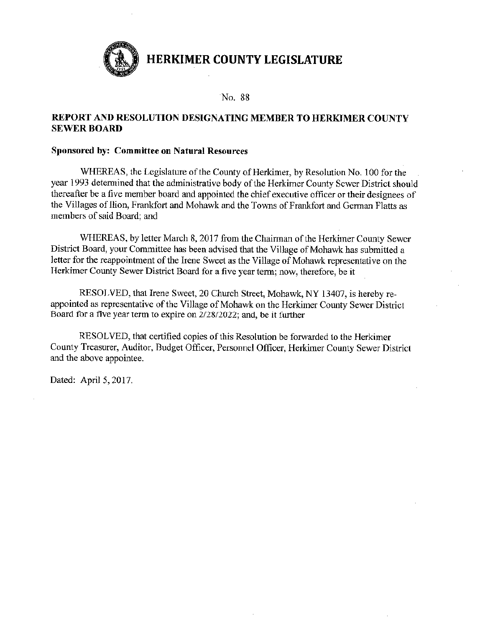

#### No. 88

### REPORT AND RESOLUTION DESIGNATING MEMBER TO HERKIMER COUNTY **SEWER BOARD**

#### Sponsored by: Committee on Natural Resources

WHEREAS, the Legislature of the County of Herkimer, by Resolution No. 100 for the year 1993 determined that the administrative body of the Herkimer County Sewer District should thereafter be a five member board and appointed the chief executive officer or their designees of the Villages of Ilion, Frankfort and Mohawk and the Towns of Frankfort and German Flatts as members of said Board; and

WHEREAS, by letter March 8, 2017 from the Chairman of the Herkimer County Sewer District Board, your Committee has been advised that the Village of Mohawk has submitted a letter for the reappointment of the Irene Sweet as the Village of Mohawk representative on the Herkimer County Sewer District Board for a five year term; now, therefore, be it

RESOLVED, that Irene Sweet, 20 Church Street, Mohawk, NY 13407, is hereby reappointed as representative of the Village of Mohawk on the Herkimer County Sewer District Board for a five year term to expire on 2/28/2022; and, be it further

RESOLVED, that certified copies of this Resolution be forwarded to the Herkimer County Treasurer, Auditor, Budget Officer, Personnel Officer, Herkimer County Sewer District and the above appointee.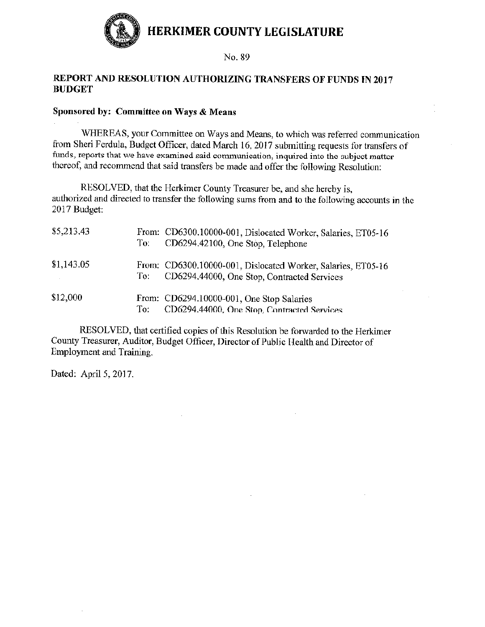

## REPORT AND RESOLUTION AUTHORIZING TRANSFERS OF FUNDS IN 2017 **BUDGET**

## Sponsored by: Committee on Ways & Means

WHEREAS, your Committee on Ways and Means, to which was referred communication from Sheri Ferdula, Budget Officer, dated March 16, 2017 submitting requests for transfers of funds, reports that we have examined said communication, inquired into the subject matter thereof, and recommend that said transfers be made and offer the following Resolution:

RESOLVED, that the Herkimer County Treasurer be, and she hereby is, authorized and directed to transfer the following sums from and to the following accounts in the 2017 Budget:

| \$5,213.43 | To: | From: CD6300.10000-001, Dislocated Worker, Salaries, ET05-16<br>CD6294.42100, One Stop, Telephone           |
|------------|-----|-------------------------------------------------------------------------------------------------------------|
| \$1,143.05 | To: | From: CD6300.10000-001, Dislocated Worker, Salaries, ET05-16<br>CD6294,44000, One Stop, Contracted Services |
| \$12,000   | To: | From: CD6294.10000-001, One Stop Salaries<br>CD6294.44000, One Stop, Contracted Services                    |

RESOLVED, that certified copies of this Resolution be forwarded to the Herkimer County Treasurer, Auditor, Budget Officer, Director of Public Health and Director of Employment and Training.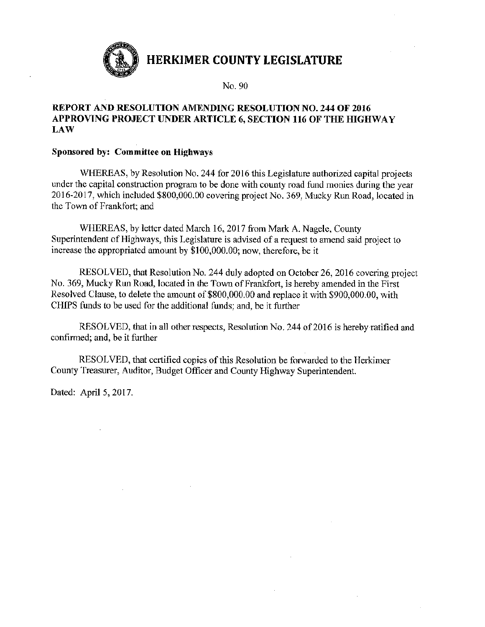

No. 90

#### **REPORT AND RESOLUTION AMENDING RESOLUTION NO. 244 OF 2016** APPROVING PROJECT UNDER ARTICLE 6, SECTION 116 OF THE HIGHWAY **LAW**

#### Sponsored by: Committee on Highways

WHEREAS, by Resolution No. 244 for 2016 this Legislature authorized capital projects under the capital construction program to be done with county road fund monies during the year 2016-2017, which included \$800,000.00 covering project No. 369, Mucky Run Road, located in the Town of Frankfort: and

WHEREAS, by letter dated March 16, 2017 from Mark A. Nagele, County Superintendent of Highways, this Legislature is advised of a request to amend said project to increase the appropriated amount by \$100,000,00; now, therefore, be it

RESOLVED, that Resolution No. 244 duly adopted on October 26, 2016 covering project No. 369, Mucky Run Road, located in the Town of Frankfort, is hereby amended in the First Resolved Clause, to delete the amount of \$800,000.00 and replace it with \$900,000.00, with CHIPS funds to be used for the additional funds; and, be it further

RESOLVED, that in all other respects, Resolution No. 244 of 2016 is hereby ratified and confirmed; and, be it further

RESOLVED, that certified copies of this Resolution be forwarded to the Herkimer County Treasurer, Auditor, Budget Officer and County Highway Superintendent.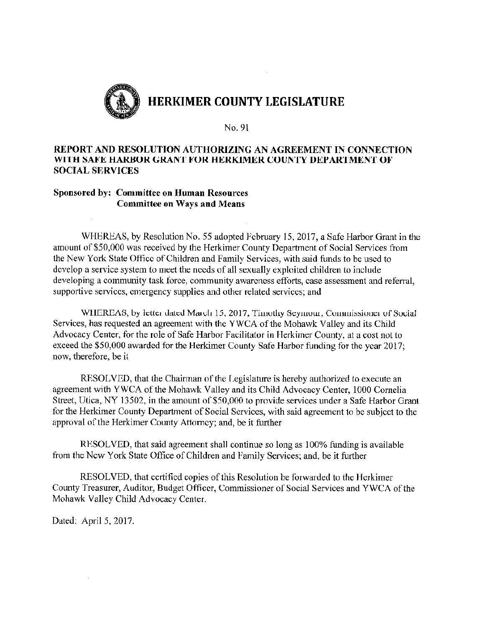

#### REPORT AND RESOLUTION AUTHORIZING AN AGREEMENT IN CONNECTION WITH SAFE HARBOR GRANT FOR HERKIMER COUNTY DEPARTMENT OF **SOCIAL SERVICES**

#### **Sponsored by: Committee on Human Resources Committee on Ways and Means**

WHEREAS, by Resolution No. 55 adopted February 15, 2017, a Safe Harbor Grant in the amount of \$50,000 was received by the Herkimer County Department of Social Services from the New York State Office of Children and Family Services, with said funds to be used to develop a service system to meet the needs of all sexually exploited children to include developing a community task force, community awareness efforts, case assessment and referral, supportive services, emergency supplies and other related services; and

WHEREAS, by letter dated March 15, 2017, Timothy Seymour, Commissioner of Social Services, has requested an agreement with the YWCA of the Mohawk Valley and its Child Advocacy Center, for the role of Safe Harbor Facilitator in Herkimer County, at a cost not to exceed the \$50,000 awarded for the Herkimer County Safe Harbor funding for the year 2017; now, therefore, be it

RESOLVED, that the Chairman of the Legislature is hereby authorized to execute an agreement with YWCA of the Mohawk Valley and its Child Advocacy Center, 1000 Cornelia Street, Utica, NY 13502, in the amount of \$50,000 to provide services under a Safe Harbor Grant for the Herkimer County Department of Social Services, with said agreement to be subject to the approval of the Herkimer County Attorney; and, be it further

RESOLVED, that said agreement shall continue so long as 100% funding is available from the New York State Office of Children and Family Services; and, be it further

RESOLVED, that certified copies of this Resolution be forwarded to the Herkimer County Treasurer, Auditor, Budget Officer, Commissioner of Social Services and YWCA of the Mohawk Valley Child Advocacy Center.

Dated: April 5, 2017.

 $\mathcal{A}$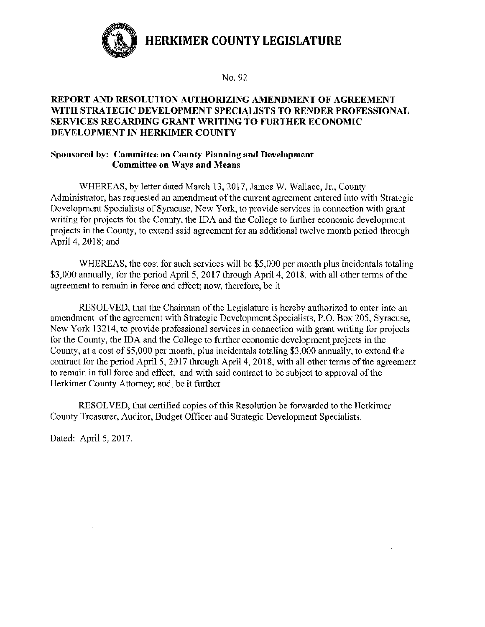

No. 92

## REPORT AND RESOLUTION AUTHORIZING AMENDMENT OF AGREEMENT WITH STRATEGIC DEVELOPMENT SPECIALISTS TO RENDER PROFESSIONAL **SERVICES REGARDING GRANT WRITING TO FURTHER ECONOMIC** DEVELOPMENT IN HERKIMER COUNTY

#### Sponsored by: Committee on County Planning and Development **Committee on Ways and Means**

WHEREAS, by letter dated March 13, 2017, James W. Wallace, Jr., County Administrator, has requested an amendment of the current agreement entered into with Strategic Development Specialists of Syracuse, New York, to provide services in connection with grant writing for projects for the County, the IDA and the College to further economic development projects in the County, to extend said agreement for an additional twelve month period through April 4, 2018; and

WHEREAS, the cost for such services will be \$5,000 per month plus incidentals totaling \$3,000 annually, for the period April 5, 2017 through April 4, 2018, with all other terms of the agreement to remain in force and effect; now, therefore, be it

RESOLVED, that the Chairman of the Legislature is hereby authorized to enter into an amendment of the agreement with Strategic Development Specialists, P.O. Box 205, Syracuse, New York 13214, to provide professional services in connection with grant writing for projects for the County, the IDA and the College to further economic development projects in the County, at a cost of \$5,000 per month, plus incidentals totaling \$3,000 annually, to extend the contract for the period April 5, 2017 through April 4, 2018, with all other terms of the agreement to remain in full force and effect, and with said contract to be subject to approval of the Herkimer County Attorney; and, be it further

RESOLVED, that certified copies of this Resolution be forwarded to the Herkimer County Treasurer, Auditor, Budget Officer and Strategic Development Specialists.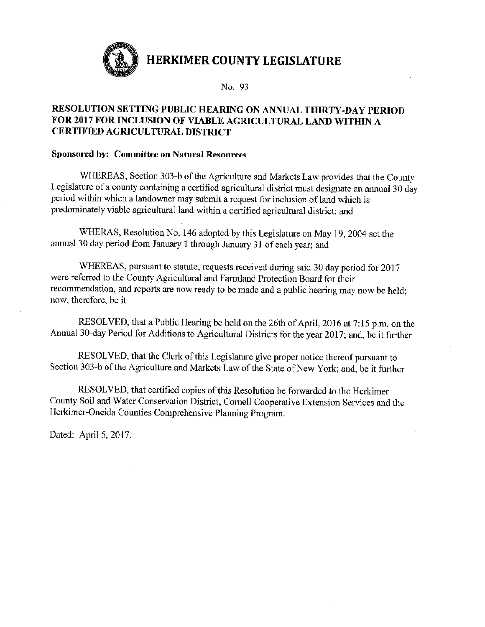

No. 93

## RESOLUTION SETTING PUBLIC HEARING ON ANNUAL THIRTY-DAY PERIOD FOR 2017 FOR INCLUSION OF VIABLE AGRICULTURAL LAND WITHIN A **CERTIFIED AGRICULTURAL DISTRICT**

#### **Sponsored by: Committee on Natural Resources**

WHEREAS, Section 303-b of the Agriculture and Markets Law provides that the County Legislature of a county containing a certified agricultural district must designate an annual 30 day period within which a landowner may submit a request for inclusion of land which is predominately viable agricultural land within a certified agricultural district; and

WHERAS, Resolution No. 146 adopted by this Legislature on May 19, 2004 set the annual 30 day period from January 1 through January 31 of each year; and

WHEREAS, pursuant to statute, requests received during said 30 day period for 2017 were referred to the County Agricultural and Farmland Protection Board for their recommendation, and reports are now ready to be made and a public hearing may now be held; now, therefore, be it

RESOLVED, that a Public Hearing be held on the 26th of April, 2016 at 7:15 p.m. on the Annual 30-day Period for Additions to Agricultural Districts for the year 2017; and, be it further

RESOLVED, that the Clerk of this Legislature give proper notice thereof pursuant to Section 303-b of the Agriculture and Markets Law of the State of New York; and, be it further

RESOLVED, that certified copies of this Resolution be forwarded to the Herkimer County Soil and Water Conservation District, Cornell Cooperative Extension Services and the Herkimer-Oneida Counties Comprehensive Planning Program.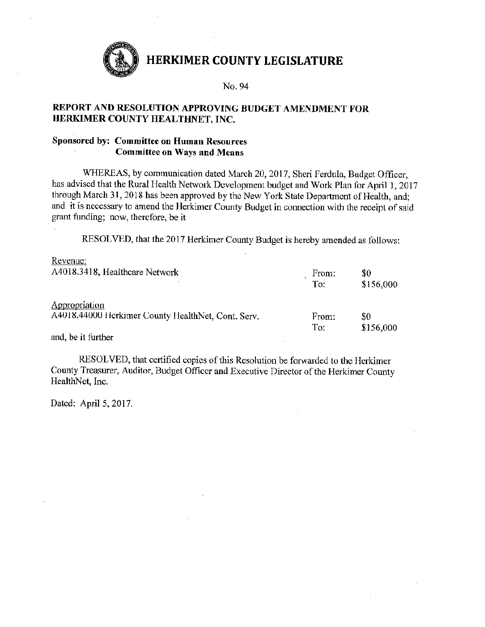

#### No. 94

#### REPORT AND RESOLUTION APPROVING BUDGET AMENDMENT FOR HERKIMER COUNTY HEALTHNET, INC.

### **Sponsored by: Committee on Human Resources Committee on Ways and Means**

WHEREAS, by communication dated March 20, 2017, Sheri Ferdula, Budget Officer, has advised that the Rural Health Network Development budget and Work Plan for April 1, 2017 through March 31, 2018 has been approved by the New York State Department of Health, and; and it is necessary to amend the Herkimer County Budget in connection with the receipt of said grant funding; now, therefore, be it

RESOLVED, that the 2017 Herkimer County Budget is hereby amended as follows:

| Revenue:                                           |       |           |
|----------------------------------------------------|-------|-----------|
| A4018.3418, Healthcare Network                     | From: | \$0       |
|                                                    | To:   | \$156,000 |
| Appropriation                                      |       |           |
| A4018.44000 Herkimer County HealthNet, Cont. Serv. | From: | \$0       |
|                                                    | To:   | \$156,000 |

and, be it further

RESOLVED, that certified copies of this Resolution be forwarded to the Herkimer County Treasurer, Auditor, Budget Officer and Executive Director of the Herkimer County HealthNet, Inc.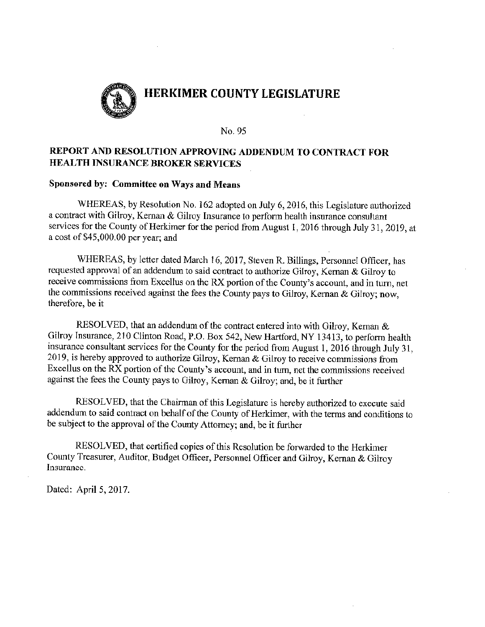

## REPORT AND RESOLUTION APPROVING ADDENDUM TO CONTRACT FOR **HEALTH INSURANCE BROKER SERVICES**

#### Sponsored by: Committee on Ways and Means

WHEREAS, by Resolution No. 162 adopted on July 6, 2016, this Legislature authorized a contract with Gilroy, Kernan & Gilroy Insurance to perform health insurance consultant services for the County of Herkimer for the period from August 1, 2016 through July 31, 2019, at a cost of \$45,000.00 per year; and

WHEREAS, by letter dated March 16, 2017, Steven R. Billings, Personnel Officer, has requested approval of an addendum to said contract to authorize Gilroy, Kernan & Gilroy to receive commissions from Excellus on the RX portion of the County's account, and in turn, net the commissions received against the fees the County pays to Gilroy, Kernan & Gilroy; now. therefore, be it

RESOLVED, that an addendum of the contract entered into with Gilroy, Kernan  $\&$ Gilroy Insurance, 210 Clinton Road, P.O. Box 542, New Hartford, NY 13413, to perform health insurance consultant services for the County for the period from August 1, 2016 through July 31, 2019, is hereby approved to authorize Gilroy, Kernan & Gilroy to receive commissions from Excellus on the RX portion of the County's account, and in turn, net the commissions received against the fees the County pays to Gilroy, Kernan & Gilroy; and, be it further

RESOLVED, that the Chairman of this Legislature is hereby authorized to execute said addendum to said contract on behalf of the County of Herkimer, with the terms and conditions to be subject to the approval of the County Attorney; and, be it further

RESOLVED, that certified copies of this Resolution be forwarded to the Herkimer County Treasurer, Auditor, Budget Officer, Personnel Officer and Gilroy, Kernan & Gilroy Insurance.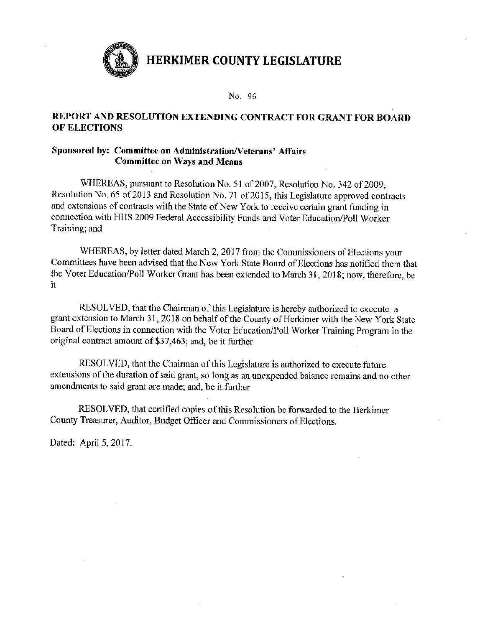

No. 96

## REPORT AND RESOLUTION EXTENDING CONTRACT FOR GRANT FOR BOARD OF ELECTIONS

#### Sponsored by: Committee on Administration/Veterans' Affairs **Committee on Ways and Means**

WHEREAS, pursuant to Resolution No. 51 of 2007, Resolution No. 342 of 2009. Resolution No. 65 of 2013 and Resolution No. 71 of 2015, this Legislature approved contracts and extensions of contracts with the State of New York to receive certain grant funding in connection with HHS 2009 Federal Accessibility Funds and Voter Education/Poll Worker Training; and

WHEREAS, by letter dated March 2, 2017 from the Commissioners of Elections your Committees have been advised that the New York State Board of Elections has notified them that the Voter Education/Poll Worker Grant has been extended to March 31, 2018; now, therefore, be  $\mathbf{i}$ 

RESOLVED, that the Chairman of this Legislature is hereby authorized to execute a grant extension to March 31, 2018 on behalf of the County of Herkimer with the New York State Board of Elections in connection with the Voter Education/Poll Worker Training Program in the original contract amount of \$37,463; and, be it further

RESOLVED, that the Chairman of this Legislature is authorized to execute future extensions of the duration of said grant, so long as an unexpended balance remains and no other amendments to said grant are made; and, be it further

RESOLVED, that certified copies of this Resolution be forwarded to the Herkimer County Treasurer, Auditor, Budget Officer and Commissioners of Elections.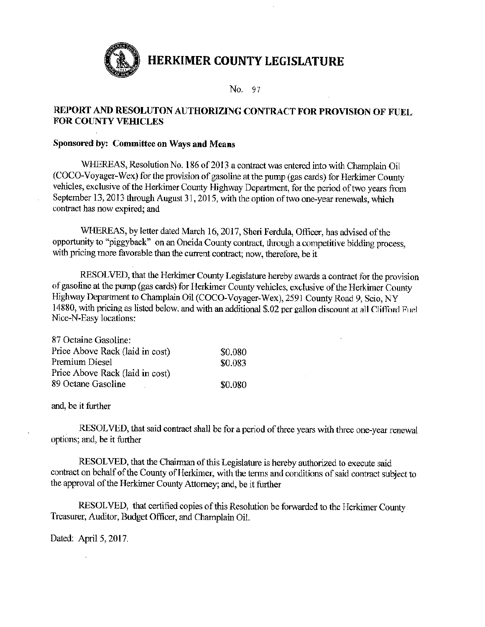

No. 97

## REPORT AND RESOLUTON AUTHORIZING CONTRACT FOR PROVISION OF FUEL **FOR COUNTY VEHICLES**

#### Sponsored by: Committee on Ways and Means

WHEREAS, Resolution No. 186 of 2013 a contract was entered into with Champlain Oil (COCO-Voyager-Wex) for the provision of gasoline at the pump (gas cards) for Herkimer County vehicles, exclusive of the Herkimer County Highway Department, for the period of two years from September 13, 2013 through August 31, 2015, with the option of two one-year renewals, which contract has now expired; and

WHEREAS, by letter dated March 16, 2017, Sheri Ferdula, Officer, has advised of the opportunity to "piggyback" on an Oneida County contract, through a competitive bidding process, with pricing more favorable than the current contract; now, therefore, be it

RESOLVED, that the Herkimer County Legislature hereby awards a contract for the provision of gasoline at the pump (gas cards) for Herkimer County vehicles, exclusive of the Herkimer County Highway Department to Champlain Oil (COCO-Voyager-Wex), 2591 County Road 9, Scio, NY 14880, with pricing as listed below, and with an additional \$.02 per gallon discount at all Clifford Fuel Nice-N-Easy locations:

| 87 Octaine Gasoline:            |         |
|---------------------------------|---------|
| Price Above Rack (laid in cost) | \$0.080 |
| Premium Diesel                  | \$0.083 |
| Price Above Rack (laid in cost) |         |
| 89 Octane Gasoline              | \$0.080 |

and, be it further

RESOLVED, that said contract shall be for a period of three years with three one-year renewal options; and, be it further

RESOLVED, that the Chairman of this Legislature is hereby authorized to execute said contract on behalf of the County of Herkimer, with the terms and conditions of said contract subject to the approval of the Herkimer County Attorney; and, be it further

RESOLVED, that certified copies of this Resolution be forwarded to the Herkimer County Treasurer, Auditor, Budget Officer, and Champlain Oil.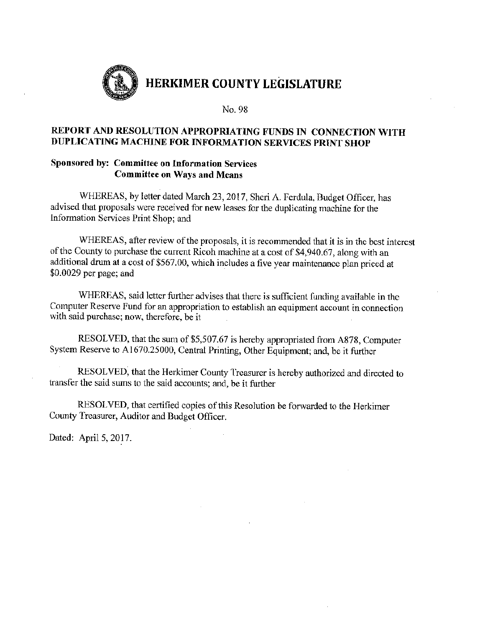

## REPORT AND RESOLUTION APPROPRIATING FUNDS IN CONNECTION WITH DUPLICATING MACHINE FOR INFORMATION SERVICES PRINT SHOP

### Sponsored by: Committee on Information Services **Committee on Ways and Means**

WHEREAS, by letter dated March 23, 2017, Sheri A. Ferdula, Budget Officer, has advised that proposals were received for new leases for the duplicating machine for the Information Services Print Shop; and

WHEREAS, after review of the proposals, it is recommended that it is in the best interest of the County to purchase the current Ricoh machine at a cost of \$4,940.67, along with an additional drum at a cost of \$567.00, which includes a five year maintenance plan priced at  $$0.0029$  per page; and

WHEREAS, said letter further advises that there is sufficient funding available in the Computer Reserve Fund for an appropriation to establish an equipment account in connection with said purchase; now, therefore, be it

RESOLVED, that the sum of \$5,507.67 is hereby appropriated from A878, Computer System Reserve to A1670.25000, Central Printing, Other Equipment; and, be it further

RESOLVED, that the Herkimer County Treasurer is hereby authorized and directed to transfer the said sums to the said accounts; and, be it further

RESOLVED, that certified copies of this Resolution be forwarded to the Herkimer County Treasurer, Auditor and Budget Officer.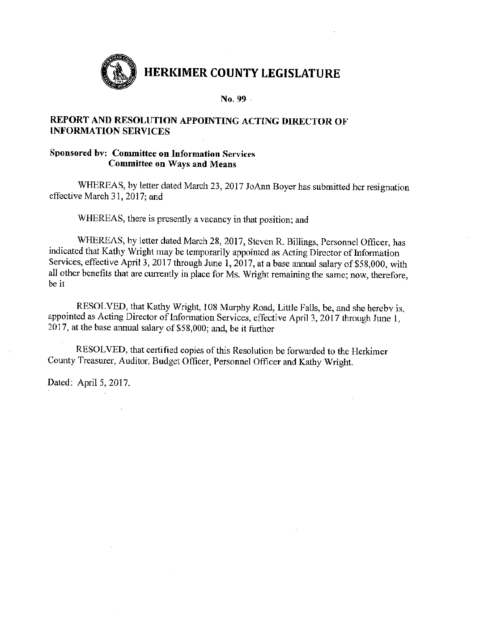

 $No. 99 -$ 

## REPORT AND RESOLUTION APPOINTING ACTING DIRECTOR OF **INFORMATION SERVICES**

### Sponsored by: Committee on Information Services **Committee on Ways and Means**

WHEREAS, by letter dated March 23, 2017 JoAnn Boyer has submitted her resignation effective March 31, 2017; and

WHEREAS, there is presently a vacancy in that position; and

WHEREAS, by letter dated March 28, 2017, Steven R. Billings, Personnel Officer, has indicated that Kathy Wright may be temporarily appointed as Acting Director of Information Services, effective April 3, 2017 through June 1, 2017, at a base annual salary of \$58,000, with all other benefits that are currently in place for Ms. Wright remaining the same; now, therefore, be it

RESOLVED, that Kathy Wright, 108 Murphy Road, Little Falls, be, and she hereby is, appointed as Acting Director of Information Services, effective April 3, 2017 through June 1, 2017, at the base annual salary of \$58,000; and, be it further

RESOLVED, that certified copies of this Resolution be forwarded to the Herkimer County Treasurer, Auditor, Budget Officer, Personnel Officer and Kathy Wright.